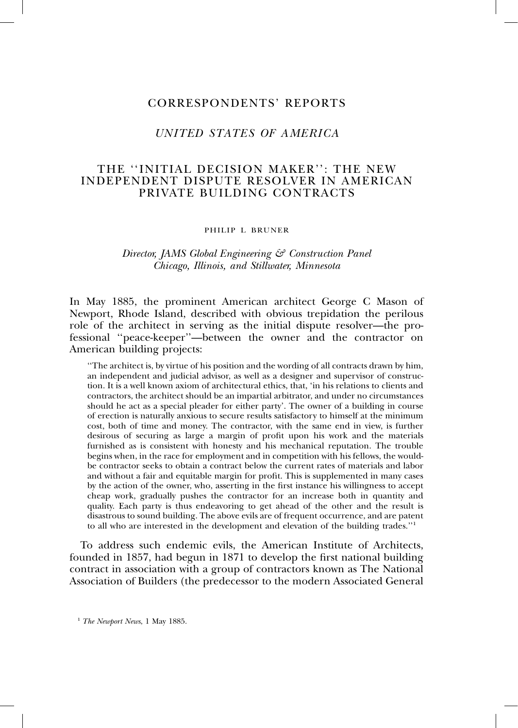## CORRESPONDENTS' REPORTS

# *UNITED STATES OF AMERICA*

## THE ''INITIAL DECISION MAKER'': THE NEW INDEPENDENT DISPUTE RESOLVER IN AMERICAN PRIVATE BUILDING CONTRACTS

#### PHILIP L BRUNER

### *Director, JAMS Global Engineering & Construction Panel Chicago, Illinois, and Stillwater, Minnesota*

In May 1885, the prominent American architect George C Mason of Newport, Rhode Island, described with obvious trepidation the perilous role of the architect in serving as the initial dispute resolver—the professional ''peace-keeper''—between the owner and the contractor on American building projects:

''The architect is, by virtue of his position and the wording of all contracts drawn by him, an independent and judicial advisor, as well as a designer and supervisor of construction. It is a well known axiom of architectural ethics, that, 'in his relations to clients and contractors, the architect should be an impartial arbitrator, and under no circumstances should he act as a special pleader for either party'. The owner of a building in course of erection is naturally anxious to secure results satisfactory to himself at the minimum cost, both of time and money. The contractor, with the same end in view, is further desirous of securing as large a margin of profit upon his work and the materials furnished as is consistent with honesty and his mechanical reputation. The trouble begins when, in the race for employment and in competition with his fellows, the wouldbe contractor seeks to obtain a contract below the current rates of materials and labor and without a fair and equitable margin for profit. This is supplemented in many cases by the action of the owner, who, asserting in the first instance his willingness to accept cheap work, gradually pushes the contractor for an increase both in quantity and quality. Each party is thus endeavoring to get ahead of the other and the result is disastrous to sound building. The above evils are of frequent occurrence, and are patent to all who are interested in the development and elevation of the building trades.''1

To address such endemic evils, the American Institute of Architects, founded in 1857, had begun in 1871 to develop the first national building contract in association with a group of contractors known as The National Association of Builders (the predecessor to the modern Associated General

<sup>1</sup> *The Newport News*, 1 May 1885.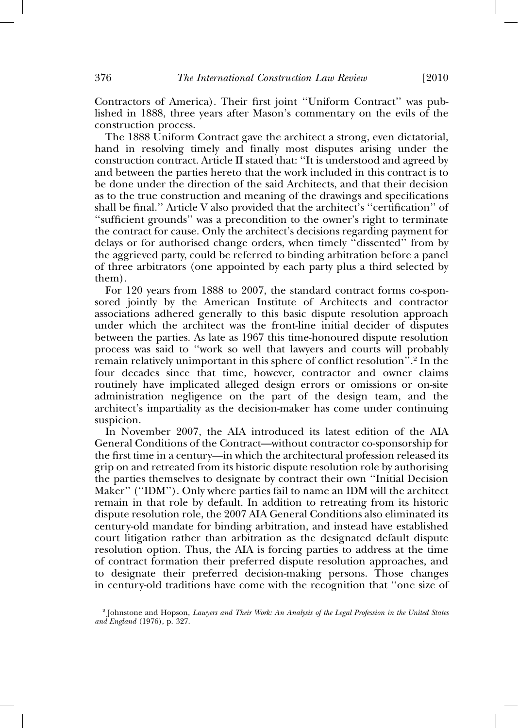Contractors of America). Their first joint ''Uniform Contract'' was published in 1888, three years after Mason's commentary on the evils of the construction process.

The 1888 Uniform Contract gave the architect a strong, even dictatorial, hand in resolving timely and finally most disputes arising under the construction contract. Article II stated that: ''It is understood and agreed by and between the parties hereto that the work included in this contract is to be done under the direction of the said Architects, and that their decision as to the true construction and meaning of the drawings and specifications shall be final.'' Article V also provided that the architect's ''certification'' of ''sufficient grounds'' was a precondition to the owner's right to terminate the contract for cause. Only the architect's decisions regarding payment for delays or for authorised change orders, when timely ''dissented'' from by the aggrieved party, could be referred to binding arbitration before a panel of three arbitrators (one appointed by each party plus a third selected by them).

For 120 years from 1888 to 2007, the standard contract forms co-sponsored jointly by the American Institute of Architects and contractor associations adhered generally to this basic dispute resolution approach under which the architect was the front-line initial decider of disputes between the parties. As late as 1967 this time-honoured dispute resolution process was said to ''work so well that lawyers and courts will probably remain relatively unimportant in this sphere of conflict resolution''. <sup>2</sup> In the four decades since that time, however, contractor and owner claims routinely have implicated alleged design errors or omissions or on-site administration negligence on the part of the design team, and the architect's impartiality as the decision-maker has come under continuing suspicion.

In November 2007, the AIA introduced its latest edition of the AIA General Conditions of the Contract—without contractor co-sponsorship for the first time in a century—in which the architectural profession released its grip on and retreated from its historic dispute resolution role by authorising the parties themselves to designate by contract their own ''Initial Decision Maker'' (''IDM''). Only where parties fail to name an IDM will the architect remain in that role by default. In addition to retreating from its historic dispute resolution role, the 2007 AIA General Conditions also eliminated its century-old mandate for binding arbitration, and instead have established court litigation rather than arbitration as the designated default dispute resolution option. Thus, the AIA is forcing parties to address at the time of contract formation their preferred dispute resolution approaches, and to designate their preferred decision-making persons. Those changes in century-old traditions have come with the recognition that ''one size of

<sup>2</sup> Johnstone and Hopson, *Lawyers and Their Work: An Analysis of the Legal Profession in the United States and England* (1976), p. 327.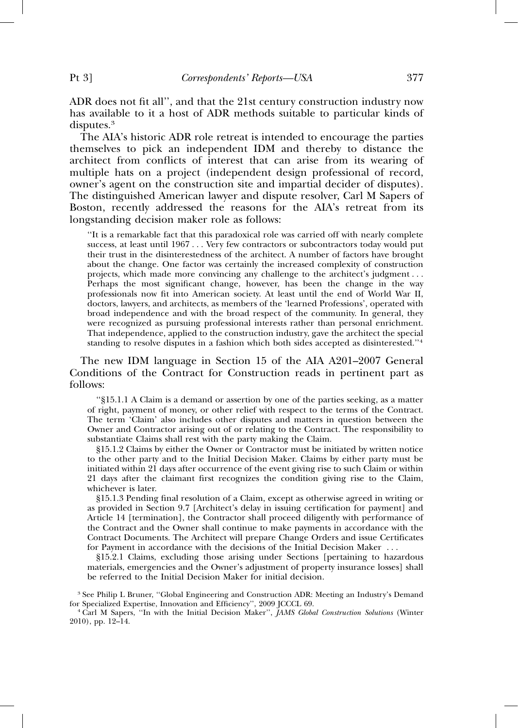ADR does not fit all'', and that the 21st century construction industry now has available to it a host of ADR methods suitable to particular kinds of disputes.<sup>3</sup>

The AIA's historic ADR role retreat is intended to encourage the parties themselves to pick an independent IDM and thereby to distance the architect from conflicts of interest that can arise from its wearing of multiple hats on a project (independent design professional of record, owner's agent on the construction site and impartial decider of disputes). The distinguished American lawyer and dispute resolver, Carl M Sapers of Boston, recently addressed the reasons for the AIA's retreat from its longstanding decision maker role as follows:

''It is a remarkable fact that this paradoxical role was carried off with nearly complete success, at least until 1967 . . . Very few contractors or subcontractors today would put their trust in the disinterestedness of the architect. A number of factors have brought about the change. One factor was certainly the increased complexity of construction projects, which made more convincing any challenge to the architect's judgment... Perhaps the most significant change, however, has been the change in the way professionals now fit into American society. At least until the end of World War II, doctors, lawyers, and architects, as members of the 'learned Professions', operated with broad independence and with the broad respect of the community. In general, they were recognized as pursuing professional interests rather than personal enrichment. That independence, applied to the construction industry, gave the architect the special standing to resolve disputes in a fashion which both sides accepted as disinterested.''<sup>4</sup>

The new IDM language in Section 15 of the AIA A201–2007 General Conditions of the Contract for Construction reads in pertinent part as follows:

''§15.1.1 A Claim is a demand or assertion by one of the parties seeking, as a matter of right, payment of money, or other relief with respect to the terms of the Contract. The term 'Claim' also includes other disputes and matters in question between the Owner and Contractor arising out of or relating to the Contract. The responsibility to substantiate Claims shall rest with the party making the Claim.

§15.1.2 Claims by either the Owner or Contractor must be initiated by written notice to the other party and to the Initial Decision Maker. Claims by either party must be initiated within 21 days after occurrence of the event giving rise to such Claim or within 21 days after the claimant first recognizes the condition giving rise to the Claim, whichever is later.

§15.1.3 Pending final resolution of a Claim, except as otherwise agreed in writing or as provided in Section 9.7 [Architect's delay in issuing certification for payment] and Article 14 [termination], the Contractor shall proceed diligently with performance of the Contract and the Owner shall continue to make payments in accordance with the Contract Documents. The Architect will prepare Change Orders and issue Certificates for Payment in accordance with the decisions of the Initial Decision Maker . . .

§15.2.1 Claims, excluding those arising under Sections [pertaining to hazardous materials, emergencies and the Owner's adjustment of property insurance losses] shall be referred to the Initial Decision Maker for initial decision.

 $^3$  See Philip L Bruner, ''Global Engineering and Construction ADR: Meeting an Industry's Demand for Specialized Expertise, Innovation and Efficiency'', 2009 JCCCL 69.

<sup>4</sup> Carl M Sapers, "In with the Initial Decision Maker", *JAMS Global Construction Solutions* (Winter 2010), pp. 12–14.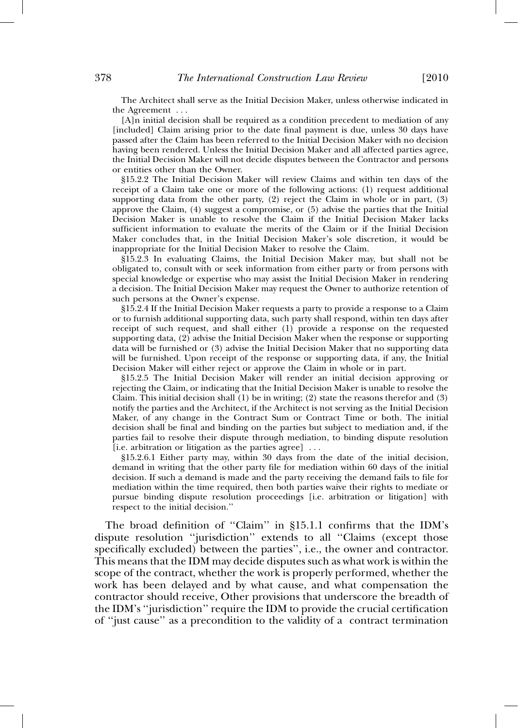The Architect shall serve as the Initial Decision Maker, unless otherwise indicated in the Agreement . . .

[A]n initial decision shall be required as a condition precedent to mediation of any [included] Claim arising prior to the date final payment is due, unless 30 days have passed after the Claim has been referred to the Initial Decision Maker with no decision having been rendered. Unless the Initial Decision Maker and all affected parties agree, the Initial Decision Maker will not decide disputes between the Contractor and persons or entities other than the Owner.

§15.2.2 The Initial Decision Maker will review Claims and within ten days of the receipt of a Claim take one or more of the following actions: (1) request additional supporting data from the other party,  $(2)$  reject the Claim in whole or in part,  $(3)$ approve the Claim, (4) suggest a compromise, or (5) advise the parties that the Initial Decision Maker is unable to resolve the Claim if the Initial Decision Maker lacks sufficient information to evaluate the merits of the Claim or if the Initial Decision Maker concludes that, in the Initial Decision Maker's sole discretion, it would be inappropriate for the Initial Decision Maker to resolve the Claim.

§15.2.3 In evaluating Claims, the Initial Decision Maker may, but shall not be obligated to, consult with or seek information from either party or from persons with special knowledge or expertise who may assist the Initial Decision Maker in rendering a decision. The Initial Decision Maker may request the Owner to authorize retention of such persons at the Owner's expense.

§15.2.4 If the Initial Decision Maker requests a party to provide a response to a Claim or to furnish additional supporting data, such party shall respond, within ten days after receipt of such request, and shall either (1) provide a response on the requested supporting data, (2) advise the Initial Decision Maker when the response or supporting data will be furnished or (3) advise the Initial Decision Maker that no supporting data will be furnished. Upon receipt of the response or supporting data, if any, the Initial Decision Maker will either reject or approve the Claim in whole or in part.

§15.2.5 The Initial Decision Maker will render an initial decision approving or rejecting the Claim, or indicating that the Initial Decision Maker is unable to resolve the Claim. This initial decision shall  $(1)$  be in writing;  $(2)$  state the reasons therefor and  $(3)$ notify the parties and the Architect, if the Architect is not serving as the Initial Decision Maker, of any change in the Contract Sum or Contract Time or both. The initial decision shall be final and binding on the parties but subject to mediation and, if the parties fail to resolve their dispute through mediation, to binding dispute resolution [i.e. arbitration or litigation as the parties agree] . . .

§15.2.6.1 Either party may, within 30 days from the date of the initial decision, demand in writing that the other party file for mediation within 60 days of the initial decision. If such a demand is made and the party receiving the demand fails to file for mediation within the time required, then both parties waive their rights to mediate or pursue binding dispute resolution proceedings [i.e. arbitration or litigation] with respect to the initial decision.''

The broad definition of ''Claim'' in §15.1.1 confirms that the IDM's dispute resolution ''jurisdiction'' extends to all ''Claims (except those specifically excluded) between the parties'', i.e., the owner and contractor. This means that the IDM may decide disputes such as what work is within the scope of the contract, whether the work is properly performed, whether the work has been delayed and by what cause, and what compensation the contractor should receive, Other provisions that underscore the breadth of the IDM's ''jurisdiction'' require the IDM to provide the crucial certification of ''just cause'' as a precondition to the validity of a contract termination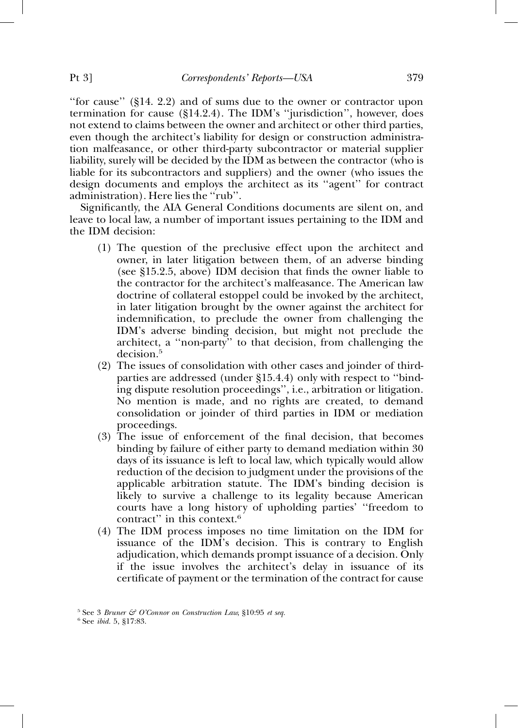''for cause'' (§14. 2.2) and of sums due to the owner or contractor upon termination for cause (§14.2.4). The IDM's ''jurisdiction'', however, does not extend to claims between the owner and architect or other third parties, even though the architect's liability for design or construction administration malfeasance, or other third-party subcontractor or material supplier liability, surely will be decided by the IDM as between the contractor (who is liable for its subcontractors and suppliers) and the owner (who issues the design documents and employs the architect as its ''agent'' for contract administration). Here lies the ''rub''.

Significantly, the AIA General Conditions documents are silent on, and leave to local law, a number of important issues pertaining to the IDM and the IDM decision:

- (1) The question of the preclusive effect upon the architect and owner, in later litigation between them, of an adverse binding (see §15.2.5, above) IDM decision that finds the owner liable to the contractor for the architect's malfeasance. The American law doctrine of collateral estoppel could be invoked by the architect, in later litigation brought by the owner against the architect for indemnification, to preclude the owner from challenging the IDM's adverse binding decision, but might not preclude the architect, a ''non-party'' to that decision, from challenging the decision.<sup>5</sup>
- (2) The issues of consolidation with other cases and joinder of thirdparties are addressed (under §15.4.4) only with respect to ''binding dispute resolution proceedings'', i.e., arbitration or litigation. No mention is made, and no rights are created, to demand consolidation or joinder of third parties in IDM or mediation proceedings.
- (3) The issue of enforcement of the final decision, that becomes binding by failure of either party to demand mediation within 30 days of its issuance is left to local law, which typically would allow reduction of the decision to judgment under the provisions of the applicable arbitration statute. The IDM's binding decision is likely to survive a challenge to its legality because American courts have a long history of upholding parties' ''freedom to contract" in this context.<sup>6</sup>
- (4) The IDM process imposes no time limitation on the IDM for issuance of the IDM's decision. This is contrary to English adjudication, which demands prompt issuance of a decision. Only if the issue involves the architect's delay in issuance of its certificate of payment or the termination of the contract for cause

<sup>5</sup> See 3 *Bruner & O'Connor on Construction Law*, §10:95 *et seq.* <sup>6</sup> See *ibid.* 5, §17:83.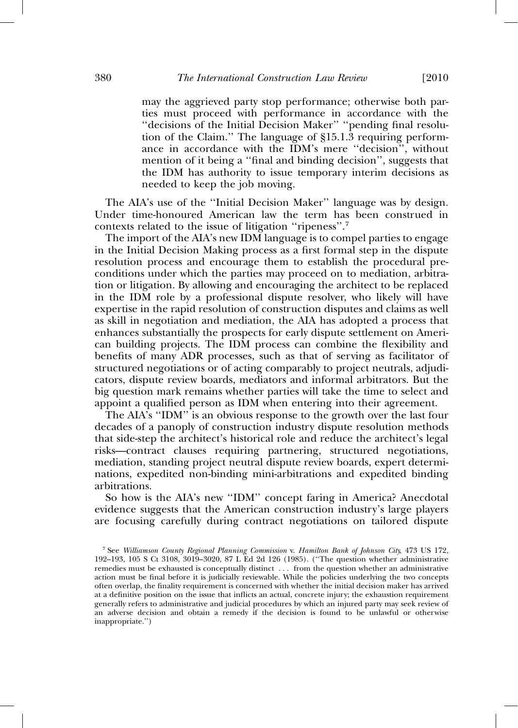may the aggrieved party stop performance; otherwise both parties must proceed with performance in accordance with the ''decisions of the Initial Decision Maker'' ''pending final resolution of the Claim.'' The language of §15.1.3 requiring performance in accordance with the IDM's mere ''decision'', without mention of it being a ''final and binding decision'', suggests that the IDM has authority to issue temporary interim decisions as needed to keep the job moving.

The AIA's use of the ''Initial Decision Maker'' language was by design. Under time-honoured American law the term has been construed in contexts related to the issue of litigation ''ripeness''. 7

The import of the AIA's new IDM language is to compel parties to engage in the Initial Decision Making process as a first formal step in the dispute resolution process and encourage them to establish the procedural preconditions under which the parties may proceed on to mediation, arbitration or litigation. By allowing and encouraging the architect to be replaced in the IDM role by a professional dispute resolver, who likely will have expertise in the rapid resolution of construction disputes and claims as well as skill in negotiation and mediation, the AIA has adopted a process that enhances substantially the prospects for early dispute settlement on American building projects. The IDM process can combine the flexibility and benefits of many ADR processes, such as that of serving as facilitator of structured negotiations or of acting comparably to project neutrals, adjudicators, dispute review boards, mediators and informal arbitrators. But the big question mark remains whether parties will take the time to select and appoint a qualified person as IDM when entering into their agreement.

The AIA's ''IDM'' is an obvious response to the growth over the last four decades of a panoply of construction industry dispute resolution methods that side-step the architect's historical role and reduce the architect's legal risks—contract clauses requiring partnering, structured negotiations, mediation, standing project neutral dispute review boards, expert determinations, expedited non-binding mini-arbitrations and expedited binding arbitrations.

So how is the AIA's new ''IDM'' concept faring in America? Anecdotal evidence suggests that the American construction industry's large players are focusing carefully during contract negotiations on tailored dispute

<sup>7</sup> See *Williamson County Regional Planning Commission* v. *Hamilton Bank of Johnson City*, 473 US 172, 192–193, 105 S Ct 3108, 3019–3020, 87 L Ed 2d 126 (1985). (''The question whether administrative remedies must be exhausted is conceptually distinct . . . from the question whether an administrative action must be final before it is judicially reviewable. While the policies underlying the two concepts often overlap, the finality requirement is concerned with whether the initial decision maker has arrived at a definitive position on the issue that inflicts an actual, concrete injury; the exhaustion requirement generally refers to administrative and judicial procedures by which an injured party may seek review of an adverse decision and obtain a remedy if the decision is found to be unlawful or otherwise inappropriate.'')